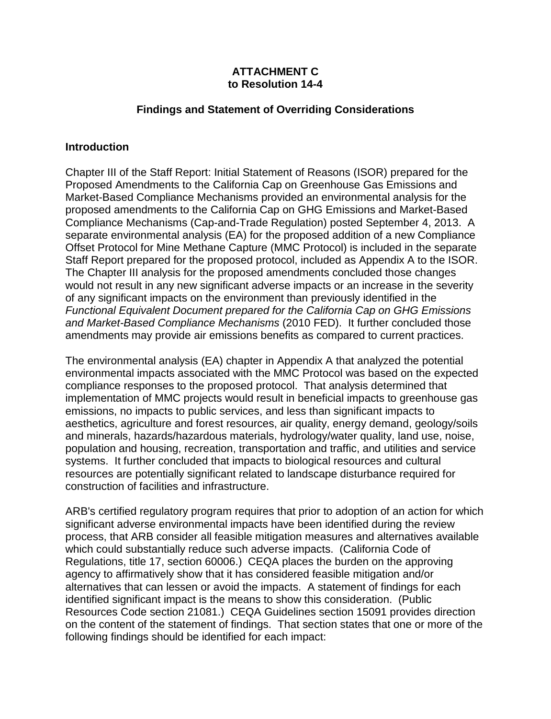#### **ATTACHMENT C to Resolution 14-4**

#### **Findings and Statement of Overriding Considerations**

#### **Introduction**

Chapter III of the Staff Report: Initial Statement of Reasons (ISOR) prepared for the Proposed Amendments to the California Cap on Greenhouse Gas Emissions and Market-Based Compliance Mechanisms provided an environmental analysis for the proposed amendments to the California Cap on GHG Emissions and Market-Based Compliance Mechanisms (Cap-and-Trade Regulation) posted September 4, 2013. A separate environmental analysis (EA) for the proposed addition of a new Compliance Offset Protocol for Mine Methane Capture (MMC Protocol) is included in the separate Staff Report prepared for the proposed protocol, included as Appendix A to the ISOR. The Chapter III analysis for the proposed amendments concluded those changes would not result in any new significant adverse impacts or an increase in the severity of any significant impacts on the environment than previously identified in the *Functional Equivalent Document prepared for the California Cap on GHG Emissions and Market-Based Compliance Mechanisms* (2010 FED). It further concluded those amendments may provide air emissions benefits as compared to current practices.

The environmental analysis (EA) chapter in Appendix A that analyzed the potential environmental impacts associated with the MMC Protocol was based on the expected compliance responses to the proposed protocol. That analysis determined that implementation of MMC projects would result in beneficial impacts to greenhouse gas emissions, no impacts to public services, and less than significant impacts to aesthetics, agriculture and forest resources, air quality, energy demand, geology/soils and minerals, hazards/hazardous materials, hydrology/water quality, land use, noise, population and housing, recreation, transportation and traffic, and utilities and service systems. It further concluded that impacts to biological resources and cultural resources are potentially significant related to landscape disturbance required for construction of facilities and infrastructure.

ARB's certified regulatory program requires that prior to adoption of an action for which significant adverse environmental impacts have been identified during the review process, that ARB consider all feasible mitigation measures and alternatives available which could substantially reduce such adverse impacts. (California Code of Regulations, title 17, section 60006.) CEQA places the burden on the approving agency to affirmatively show that it has considered feasible mitigation and/or alternatives that can lessen or avoid the impacts. A statement of findings for each identified significant impact is the means to show this consideration. (Public Resources Code section 21081.) CEQA Guidelines section 15091 provides direction on the content of the statement of findings. That section states that one or more of the following findings should be identified for each impact: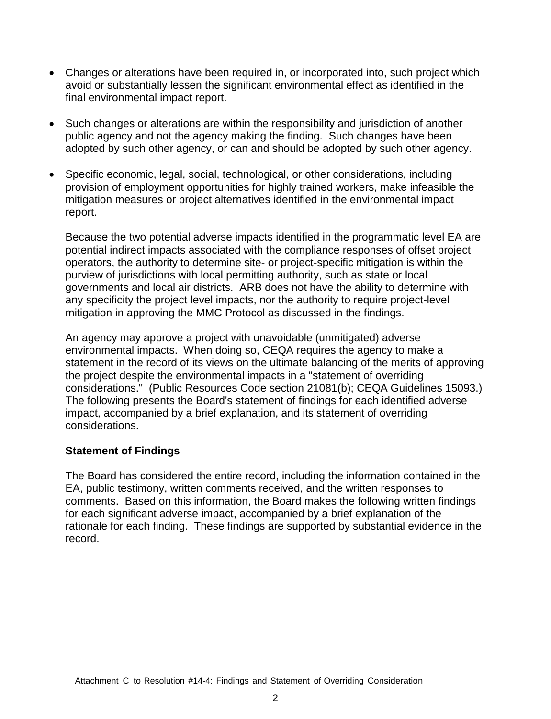- Changes or alterations have been required in, or incorporated into, such project which avoid or substantially lessen the significant environmental effect as identified in the final environmental impact report.
- Such changes or alterations are within the responsibility and jurisdiction of another public agency and not the agency making the finding. Such changes have been adopted by such other agency, or can and should be adopted by such other agency.
- Specific economic, legal, social, technological, or other considerations, including provision of employment opportunities for highly trained workers, make infeasible the mitigation measures or project alternatives identified in the environmental impact report.

Because the two potential adverse impacts identified in the programmatic level EA are potential indirect impacts associated with the compliance responses of offset project operators, the authority to determine site- or project-specific mitigation is within the purview of jurisdictions with local permitting authority, such as state or local governments and local air districts. ARB does not have the ability to determine with any specificity the project level impacts, nor the authority to require project-level mitigation in approving the MMC Protocol as discussed in the findings.

An agency may approve a project with unavoidable (unmitigated) adverse environmental impacts. When doing so, CEQA requires the agency to make a statement in the record of its views on the ultimate balancing of the merits of approving the project despite the environmental impacts in a "statement of overriding considerations." (Public Resources Code section 21081(b); CEQA Guidelines 15093.) The following presents the Board's statement of findings for each identified adverse impact, accompanied by a brief explanation, and its statement of overriding considerations.

#### **Statement of Findings**

The Board has considered the entire record, including the information contained in the EA, public testimony, written comments received, and the written responses to comments. Based on this information, the Board makes the following written findings for each significant adverse impact, accompanied by a brief explanation of the rationale for each finding. These findings are supported by substantial evidence in the record.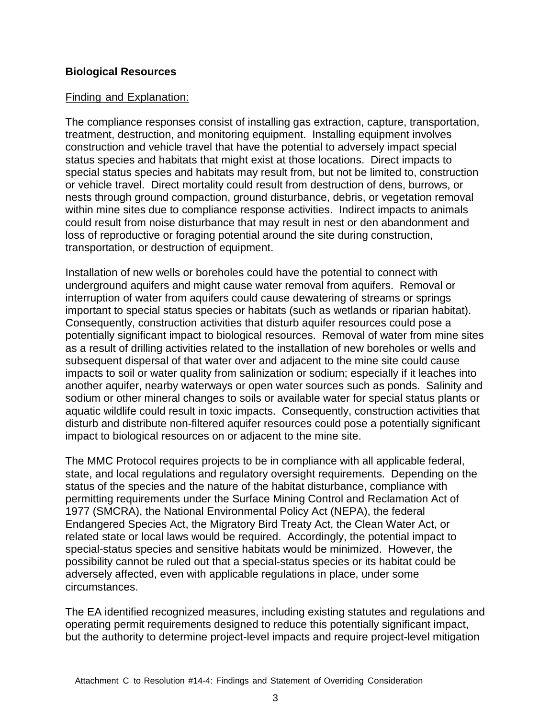### **Biological Resources**

### Finding and Explanation:

The compliance responses consist of installing gas extraction, capture, transportation, treatment, destruction, and monitoring equipment. Installing equipment involves construction and vehicle travel that have the potential to adversely impact special status species and habitats that might exist at those locations. Direct impacts to special status species and habitats may result from, but not be limited to, construction or vehicle travel. Direct mortality could result from destruction of dens, burrows, or nests through ground compaction, ground disturbance, debris, or vegetation removal within mine sites due to compliance response activities. Indirect impacts to animals could result from noise disturbance that may result in nest or den abandonment and loss of reproductive or foraging potential around the site during construction, transportation, or destruction of equipment.

Installation of new wells or boreholes could have the potential to connect with underground aquifers and might cause water removal from aquifers. Removal or interruption of water from aquifers could cause dewatering of streams or springs important to special status species or habitats (such as wetlands or riparian habitat). Consequently, construction activities that disturb aquifer resources could pose a potentially significant impact to biological resources. Removal of water from mine sites as a result of drilling activities related to the installation of new boreholes or wells and subsequent dispersal of that water over and adjacent to the mine site could cause impacts to soil or water quality from salinization or sodium; especially if it leaches into another aquifer, nearby waterways or open water sources such as ponds. Salinity and sodium or other mineral changes to soils or available water for special status plants or aquatic wildlife could result in toxic impacts. Consequently, construction activities that disturb and distribute non-filtered aquifer resources could pose a potentially significant impact to biological resources on or adjacent to the mine site.

The MMC Protocol requires projects to be in compliance with all applicable federal, state, and local regulations and regulatory oversight requirements. Depending on the status of the species and the nature of the habitat disturbance, compliance with permitting requirements under the Surface Mining Control and Reclamation Act of 1977 (SMCRA), the National Environmental Policy Act (NEPA), the federal Endangered Species Act, the Migratory Bird Treaty Act, the Clean Water Act, or related state or local laws would be required. Accordingly, the potential impact to special-status species and sensitive habitats would be minimized. However, the possibility cannot be ruled out that a special-status species or its habitat could be adversely affected, even with applicable regulations in place, under some circumstances.

The EA identified recognized measures, including existing statutes and regulations and operating permit requirements designed to reduce this potentially significant impact, but the authority to determine project-level impacts and require project-level mitigation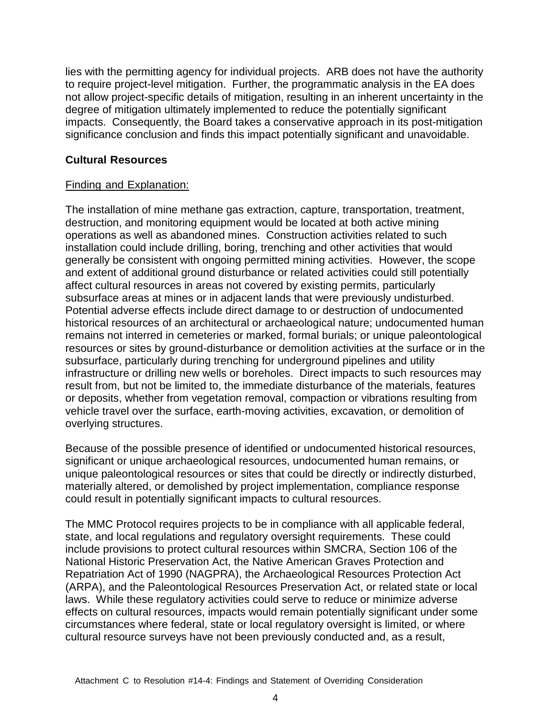lies with the permitting agency for individual projects. ARB does not have the authority to require project-level mitigation. Further, the programmatic analysis in the EA does not allow project-specific details of mitigation, resulting in an inherent uncertainty in the degree of mitigation ultimately implemented to reduce the potentially significant impacts. Consequently, the Board takes a conservative approach in its post-mitigation significance conclusion and finds this impact potentially significant and unavoidable.

# **Cultural Resources**

### Finding and Explanation:

The installation of mine methane gas extraction, capture, transportation, treatment, destruction, and monitoring equipment would be located at both active mining operations as well as abandoned mines. Construction activities related to such installation could include drilling, boring, trenching and other activities that would generally be consistent with ongoing permitted mining activities. However, the scope and extent of additional ground disturbance or related activities could still potentially affect cultural resources in areas not covered by existing permits, particularly subsurface areas at mines or in adjacent lands that were previously undisturbed. Potential adverse effects include direct damage to or destruction of undocumented historical resources of an architectural or archaeological nature; undocumented human remains not interred in cemeteries or marked, formal burials; or unique paleontological resources or sites by ground-disturbance or demolition activities at the surface or in the subsurface, particularly during trenching for underground pipelines and utility infrastructure or drilling new wells or boreholes. Direct impacts to such resources may result from, but not be limited to, the immediate disturbance of the materials, features or deposits, whether from vegetation removal, compaction or vibrations resulting from vehicle travel over the surface, earth-moving activities, excavation, or demolition of overlying structures.

Because of the possible presence of identified or undocumented historical resources, significant or unique archaeological resources, undocumented human remains, or unique paleontological resources or sites that could be directly or indirectly disturbed, materially altered, or demolished by project implementation, compliance response could result in potentially significant impacts to cultural resources.

The MMC Protocol requires projects to be in compliance with all applicable federal, state, and local regulations and regulatory oversight requirements. These could include provisions to protect cultural resources within SMCRA, Section 106 of the National Historic Preservation Act, the Native American Graves Protection and Repatriation Act of 1990 (NAGPRA), the Archaeological Resources Protection Act (ARPA), and the Paleontological Resources Preservation Act, or related state or local laws. While these regulatory activities could serve to reduce or minimize adverse effects on cultural resources, impacts would remain potentially significant under some circumstances where federal, state or local regulatory oversight is limited, or where cultural resource surveys have not been previously conducted and, as a result,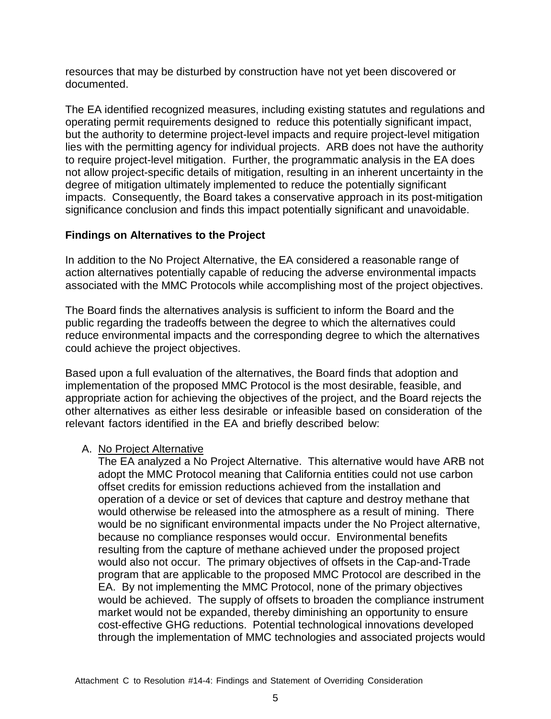resources that may be disturbed by construction have not yet been discovered or documented.

The EA identified recognized measures, including existing statutes and regulations and operating permit requirements designed to reduce this potentially significant impact, but the authority to determine project-level impacts and require project-level mitigation lies with the permitting agency for individual projects. ARB does not have the authority to require project-level mitigation. Further, the programmatic analysis in the EA does not allow project-specific details of mitigation, resulting in an inherent uncertainty in the degree of mitigation ultimately implemented to reduce the potentially significant impacts. Consequently, the Board takes a conservative approach in its post-mitigation significance conclusion and finds this impact potentially significant and unavoidable.

# **Findings on Alternatives to the Project**

In addition to the No Project Alternative, the EA considered a reasonable range of action alternatives potentially capable of reducing the adverse environmental impacts associated with the MMC Protocols while accomplishing most of the project objectives.

The Board finds the alternatives analysis is sufficient to inform the Board and the public regarding the tradeoffs between the degree to which the alternatives could reduce environmental impacts and the corresponding degree to which the alternatives could achieve the project objectives.

Based upon a full evaluation of the alternatives, the Board finds that adoption and implementation of the proposed MMC Protocol is the most desirable, feasible, and appropriate action for achieving the objectives of the project, and the Board rejects the other alternatives as either less desirable or infeasible based on consideration of the relevant factors identified in the EA and briefly described below:

#### A. No Project Alternative

The EA analyzed a No Project Alternative. This alternative would have ARB not adopt the MMC Protocol meaning that California entities could not use carbon offset credits for emission reductions achieved from the installation and operation of a device or set of devices that capture and destroy methane that would otherwise be released into the atmosphere as a result of mining. There would be no significant environmental impacts under the No Project alternative, because no compliance responses would occur. Environmental benefits resulting from the capture of methane achieved under the proposed project would also not occur. The primary objectives of offsets in the Cap-and-Trade program that are applicable to the proposed MMC Protocol are described in the EA. By not implementing the MMC Protocol, none of the primary objectives would be achieved. The supply of offsets to broaden the compliance instrument market would not be expanded, thereby diminishing an opportunity to ensure cost-effective GHG reductions. Potential technological innovations developed through the implementation of MMC technologies and associated projects would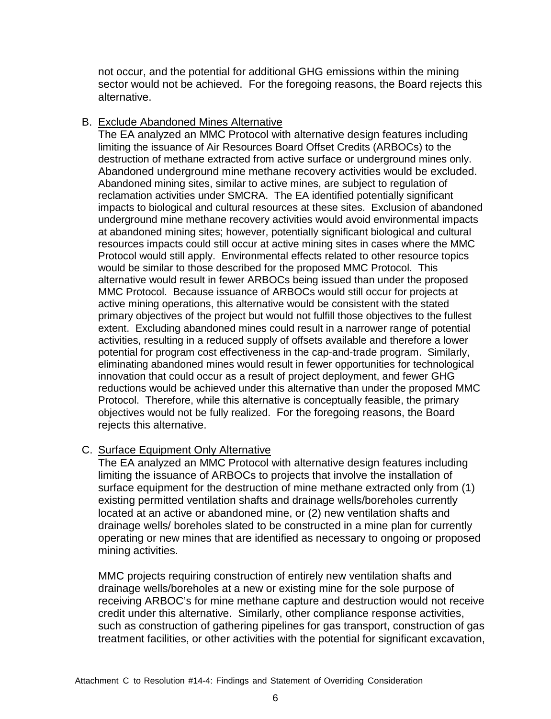not occur, and the potential for additional GHG emissions within the mining sector would not be achieved. For the foregoing reasons, the Board rejects this alternative.

### B. Exclude Abandoned Mines Alternative

The EA analyzed an MMC Protocol with alternative design features including limiting the issuance of Air Resources Board Offset Credits (ARBOCs) to the destruction of methane extracted from active surface or underground mines only. Abandoned underground mine methane recovery activities would be excluded. Abandoned mining sites, similar to active mines, are subject to regulation of reclamation activities under SMCRA. The EA identified potentially significant impacts to biological and cultural resources at these sites. Exclusion of abandoned underground mine methane recovery activities would avoid environmental impacts at abandoned mining sites; however, potentially significant biological and cultural resources impacts could still occur at active mining sites in cases where the MMC Protocol would still apply. Environmental effects related to other resource topics would be similar to those described for the proposed MMC Protocol. This alternative would result in fewer ARBOCs being issued than under the proposed MMC Protocol. Because issuance of ARBOCs would still occur for projects at active mining operations, this alternative would be consistent with the stated primary objectives of the project but would not fulfill those objectives to the fullest extent. Excluding abandoned mines could result in a narrower range of potential activities, resulting in a reduced supply of offsets available and therefore a lower potential for program cost effectiveness in the cap-and-trade program. Similarly, eliminating abandoned mines would result in fewer opportunities for technological innovation that could occur as a result of project deployment, and fewer GHG reductions would be achieved under this alternative than under the proposed MMC Protocol. Therefore, while this alternative is conceptually feasible, the primary objectives would not be fully realized. For the foregoing reasons, the Board rejects this alternative.

#### C. Surface Equipment Only Alternative

The EA analyzed an MMC Protocol with alternative design features including limiting the issuance of ARBOCs to projects that involve the installation of surface equipment for the destruction of mine methane extracted only from (1) existing permitted ventilation shafts and drainage wells/boreholes currently located at an active or abandoned mine, or (2) new ventilation shafts and drainage wells/ boreholes slated to be constructed in a mine plan for currently operating or new mines that are identified as necessary to ongoing or proposed mining activities.

MMC projects requiring construction of entirely new ventilation shafts and drainage wells/boreholes at a new or existing mine for the sole purpose of receiving ARBOC's for mine methane capture and destruction would not receive credit under this alternative. Similarly, other compliance response activities, such as construction of gathering pipelines for gas transport, construction of gas treatment facilities, or other activities with the potential for significant excavation,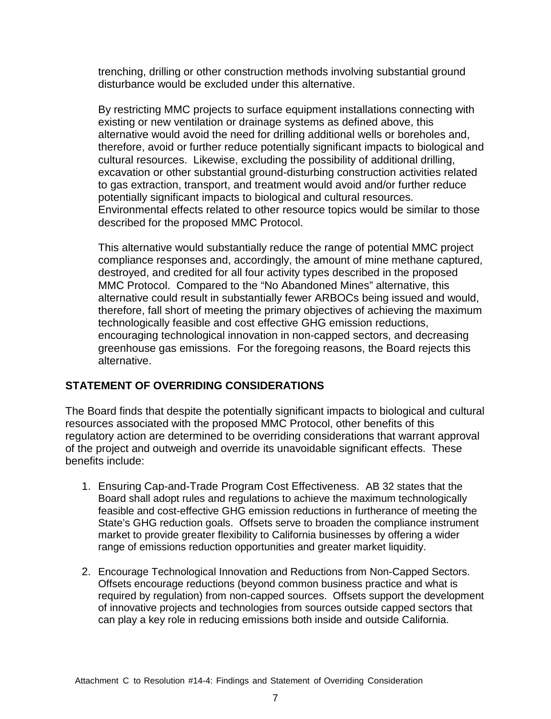trenching, drilling or other construction methods involving substantial ground disturbance would be excluded under this alternative.

By restricting MMC projects to surface equipment installations connecting with existing or new ventilation or drainage systems as defined above, this alternative would avoid the need for drilling additional wells or boreholes and, therefore, avoid or further reduce potentially significant impacts to biological and cultural resources. Likewise, excluding the possibility of additional drilling, excavation or other substantial ground-disturbing construction activities related to gas extraction, transport, and treatment would avoid and/or further reduce potentially significant impacts to biological and cultural resources. Environmental effects related to other resource topics would be similar to those described for the proposed MMC Protocol.

This alternative would substantially reduce the range of potential MMC project compliance responses and, accordingly, the amount of mine methane captured, destroyed, and credited for all four activity types described in the proposed MMC Protocol. Compared to the "No Abandoned Mines" alternative, this alternative could result in substantially fewer ARBOCs being issued and would, therefore, fall short of meeting the primary objectives of achieving the maximum technologically feasible and cost effective GHG emission reductions, encouraging technological innovation in non-capped sectors, and decreasing greenhouse gas emissions. For the foregoing reasons, the Board rejects this alternative.

# **STATEMENT OF OVERRIDING CONSIDERATIONS**

The Board finds that despite the potentially significant impacts to biological and cultural resources associated with the proposed MMC Protocol, other benefits of this regulatory action are determined to be overriding considerations that warrant approval of the project and outweigh and override its unavoidable significant effects. These benefits include:

- 1. Ensuring Cap-and-Trade Program Cost Effectiveness. AB 32 states that the Board shall adopt rules and regulations to achieve the maximum technologically feasible and cost-effective GHG emission reductions in furtherance of meeting the State's GHG reduction goals. Offsets serve to broaden the compliance instrument market to provide greater flexibility to California businesses by offering a wider range of emissions reduction opportunities and greater market liquidity.
- 2. Encourage Technological Innovation and Reductions from Non-Capped Sectors. Offsets encourage reductions (beyond common business practice and what is required by regulation) from non-capped sources. Offsets support the development of innovative projects and technologies from sources outside capped sectors that can play a key role in reducing emissions both inside and outside California.